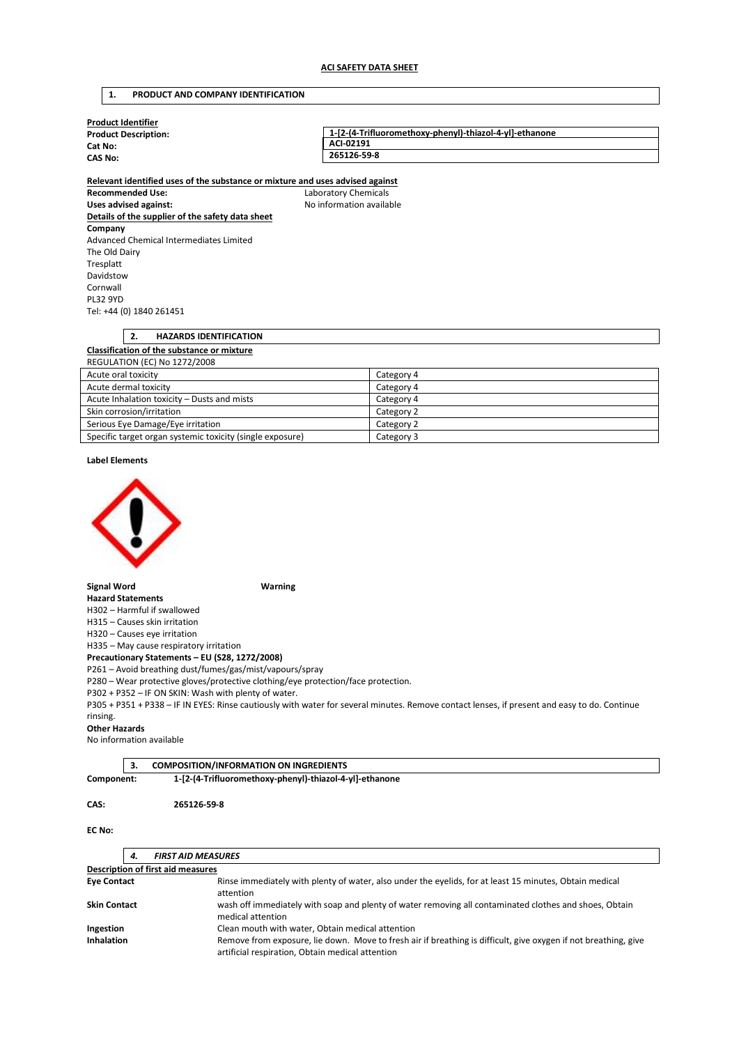## **1. PRODUCT AND COMPANY IDENTIFICATION**

| <b>Product Identifier</b>   |                                                         |
|-----------------------------|---------------------------------------------------------|
| <b>Product Description:</b> | 1-[2-(4-Trifluoromethoxy-phenyl)-thiazol-4-yl]-ethanone |
| Cat No:                     | ACI-02191                                               |
| <b>CAS No:</b>              | 265126-59-8                                             |
|                             |                                                         |

**Recommended Use:** Laboratory Chemicals Uses advised against: **No information available Details of the supplier of the safety data sheet Company**  Advanced Chemical Intermediates Limited The Old Dairy Tresplatt Davidstow Cornwall PL32 9YD Tel: +44 (0) 1840 261451

# **Relevant identified uses of the substance or mixture and uses advised against**

| <b>HAZARDS IDENTIFICATION</b>                             |            |
|-----------------------------------------------------------|------------|
| <b>Classification of the substance or mixture</b>         |            |
| <b>REGULATION (EC) No 1272/2008</b>                       |            |
| Acute oral toxicity                                       | Category 4 |
| Acute dermal toxicity                                     | Category 4 |
| Acute Inhalation toxicity - Dusts and mists               | Category 4 |
| Skin corrosion/irritation                                 | Category 2 |
| Serious Eye Damage/Eye irritation                         | Category 2 |
| Specific target organ systemic toxicity (single exposure) | Category 3 |

#### **Label Elements**



#### **Signal Word Warning**

**Hazard Statements**  H302 – Harmful if swallowed

H315 – Causes skin irritation H320 – Causes eye irritation

H335 – May cause respiratory irritation

**Precautionary Statements – EU (S28, 1272/2008)**  P261 – Avoid breathing dust/fumes/gas/mist/vapours/spray

P280 – Wear protective gloves/protective clothing/eye protection/face protection.

P302 + P352 – IF ON SKIN: Wash with plenty of water.

P305 + P351 + P338 – IF IN EYES: Rinse cautiously with water for several minutes. Remove contact lenses, if present and easy to do. Continue rinsing.

## **Other Hazards**

No information available

| <b>COMPOSITION/INFORMATION ON INGREDIENTS</b><br>$\mathsf{I}$ 3. |
|------------------------------------------------------------------|
|                                                                  |

**Component: 1-[2-(4-Trifluoromethoxy-phenyl)-thiazol-4-yl]-ethanone** 

#### **CAS: 265126-59-8**

## **EC No:**

| 4.                  | <b>FIRST AID MEASURES</b>                                                                                                                                           |  |
|---------------------|---------------------------------------------------------------------------------------------------------------------------------------------------------------------|--|
|                     | <b>Description of first aid measures</b>                                                                                                                            |  |
| <b>Eye Contact</b>  | Rinse immediately with plenty of water, also under the eyelids, for at least 15 minutes, Obtain medical<br>attention                                                |  |
| <b>Skin Contact</b> | wash off immediately with soap and plenty of water removing all contaminated clothes and shoes, Obtain<br>medical attention                                         |  |
| Ingestion           | Clean mouth with water, Obtain medical attention                                                                                                                    |  |
| <b>Inhalation</b>   | Remove from exposure, lie down. Move to fresh air if breathing is difficult, give oxygen if not breathing, give<br>artificial respiration, Obtain medical attention |  |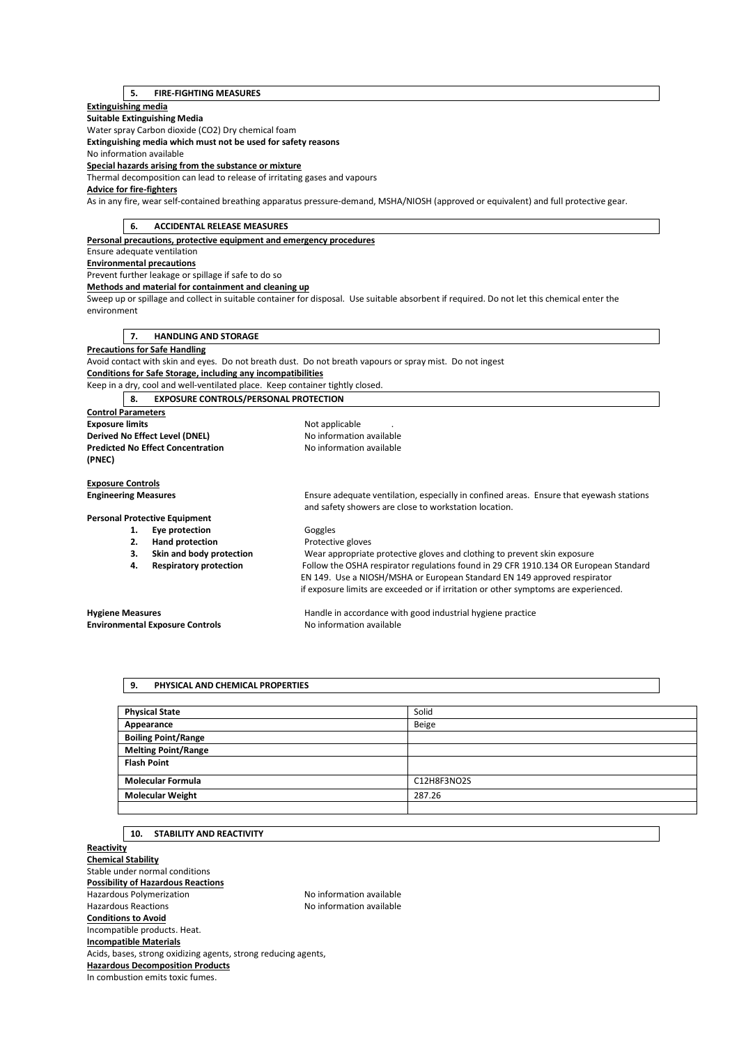# **5. FIRE-FIGHTING MEASURES**

## **Extinguishing media**

**Suitable Extinguishing Media** 

Water spray Carbon dioxide (CO2) Dry chemical foam

**Extinguishing media which must not be used for safety reasons** 

No information available

**Special hazards arising from the substance or mixture** 

Thermal decomposition can lead to release of irritating gases and vapours

# **Advice for fire-fighters**

As in any fire, wear self-contained breathing apparatus pressure-demand, MSHA/NIOSH (approved or equivalent) and full protective gear.

| 6.<br><b>ACCIDENTAL RELEASE MEASURES</b>                                      |                                                                                                                                             |
|-------------------------------------------------------------------------------|---------------------------------------------------------------------------------------------------------------------------------------------|
| Personal precautions, protective equipment and emergency procedures           |                                                                                                                                             |
| Ensure adequate ventilation                                                   |                                                                                                                                             |
| <b>Environmental precautions</b>                                              |                                                                                                                                             |
| Prevent further leakage or spillage if safe to do so                          |                                                                                                                                             |
| Methods and material for containment and cleaning up                          |                                                                                                                                             |
|                                                                               | Sweep up or spillage and collect in suitable container for disposal. Use suitable absorbent if required. Do not let this chemical enter the |
| environment                                                                   |                                                                                                                                             |
|                                                                               |                                                                                                                                             |
| <b>HANDLING AND STORAGE</b><br>7.                                             |                                                                                                                                             |
| <b>Precautions for Safe Handling</b>                                          |                                                                                                                                             |
|                                                                               | Avoid contact with skin and eyes. Do not breath dust. Do not breath vapours or spray mist. Do not ingest                                    |
| Conditions for Safe Storage, including any incompatibilities                  |                                                                                                                                             |
| Keep in a dry, cool and well-ventilated place. Keep container tightly closed. |                                                                                                                                             |
| <b>EXPOSURE CONTROLS/PERSONAL PROTECTION</b><br>8.                            |                                                                                                                                             |
| <b>Control Parameters</b>                                                     |                                                                                                                                             |
| <b>Exposure limits</b>                                                        | Not applicable                                                                                                                              |
| Derived No Effect Level (DNEL)                                                | No information available                                                                                                                    |
| <b>Predicted No Effect Concentration</b>                                      | No information available                                                                                                                    |
| (PNEC)                                                                        |                                                                                                                                             |
|                                                                               |                                                                                                                                             |
| <b>Exposure Controls</b>                                                      |                                                                                                                                             |
| <b>Engineering Measures</b>                                                   | Ensure adequate ventilation, especially in confined areas. Ensure that eyewash stations                                                     |
|                                                                               | and safety showers are close to workstation location.                                                                                       |
| <b>Personal Protective Equipment</b>                                          |                                                                                                                                             |
| Eye protection<br>1.                                                          | Goggles                                                                                                                                     |
| <b>Hand protection</b><br>2.                                                  | Protective gloves                                                                                                                           |
| Skin and body protection<br>3.                                                | Wear appropriate protective gloves and clothing to prevent skin exposure                                                                    |
| <b>Respiratory protection</b><br>4.                                           | Follow the OSHA respirator regulations found in 29 CFR 1910.134 OR European Standard                                                        |
|                                                                               | EN 149. Use a NIOSH/MSHA or European Standard EN 149 approved respirator                                                                    |
|                                                                               | if exposure limits are exceeded or if irritation or other symptoms are experienced.                                                         |
| <b>Hygiene Measures</b>                                                       | Handle in accordance with good industrial hygiene practice                                                                                  |
| <b>Environmental Exposure Controls</b>                                        | No information available                                                                                                                    |
|                                                                               |                                                                                                                                             |

## **9. PHYSICAL AND CHEMICAL PROPERTIES**

| <b>Physical State</b>      | Solid       |
|----------------------------|-------------|
| Appearance                 | Beige       |
| <b>Boiling Point/Range</b> |             |
| <b>Melting Point/Range</b> |             |
| <b>Flash Point</b>         |             |
|                            |             |
| <b>Molecular Formula</b>   | C12H8F3NO2S |
| <b>Molecular Weight</b>    | 287.26      |
|                            |             |

# **10. STABILITY AND REACTIVITY**

**Reactivity Chemical Stability**  Stable under normal conditions **Possibility of Hazardous Reactions**  Hazardous Polymerization and the Society of the No information available<br>Hazardous Reactions available No information available No information available **Conditions to Avoid**  Incompatible products. Heat. **Incompatible Materials**  Acids, bases, strong oxidizing agents, strong reducing agents, **Hazardous Decomposition Products**  In combustion emits toxic fumes.